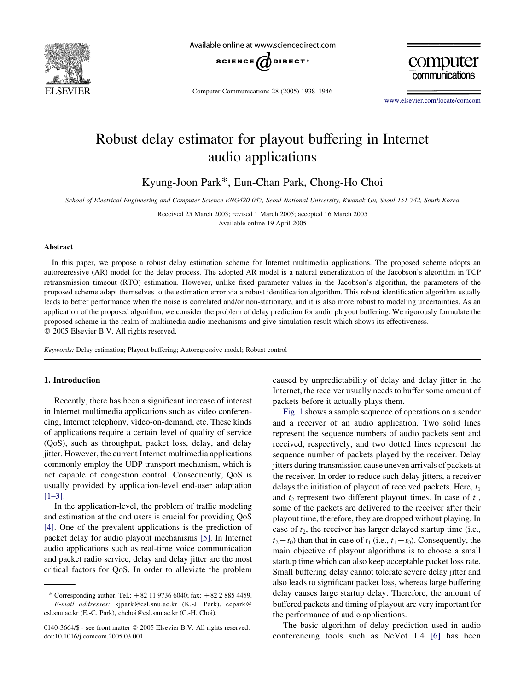

Available online at www.sciencedirect.com



Computer Communications 28 (2005) 1938–1946

computer communications

[www.elsevier.com/locate/comcom](http://www.elsevier.com/locate/comcom)

# Robust delay estimator for playout buffering in Internet audio applications

Kyung-Joon Park\*, Eun-Chan Park, Chong-Ho Choi

School of Electrical Engineering and Computer Science ENG420-047, Seoul National University, Kwanak-Gu, Seoul 151-742, South Korea

Received 25 March 2003; revised 1 March 2005; accepted 16 March 2005

Available online 19 April 2005

#### Abstract

In this paper, we propose a robust delay estimation scheme for Internet multimedia applications. The proposed scheme adopts an autoregressive (AR) model for the delay process. The adopted AR model is a natural generalization of the Jacobson's algorithm in TCP retransmission timeout (RTO) estimation. However, unlike fixed parameter values in the Jacobson's algorithm, the parameters of the proposed scheme adapt themselves to the estimation error via a robust identification algorithm. This robust identification algorithm usually leads to better performance when the noise is correlated and/or non-stationary, and it is also more robust to modeling uncertainties. As an application of the proposed algorithm, we consider the problem of delay prediction for audio playout buffering. We rigorously formulate the proposed scheme in the realm of multimedia audio mechanisms and give simulation result which shows its effectiveness.  $© 2005 Elsevier B.V. All rights reserved.$ 

Keywords: Delay estimation; Playout buffering; Autoregressive model; Robust control

# 1. Introduction

Recently, there has been a significant increase of interest in Internet multimedia applications such as video conferencing, Internet telephony, video-on-demand, etc. These kinds of applications require a certain level of quality of service (QoS), such as throughput, packet loss, delay, and delay jitter. However, the current Internet multimedia applications commonly employ the UDP transport mechanism, which is not capable of congestion control. Consequently, QoS is usually provided by application-level end-user adaptation  $[1-3]$ .

In the application-level, the problem of traffic modeling and estimation at the end users is crucial for providing QoS [\[4\]](#page-8-0). One of the prevalent applications is the prediction of packet delay for audio playout mechanisms [\[5\].](#page-8-0) In Internet audio applications such as real-time voice communication and packet radio service, delay and delay jitter are the most critical factors for QoS. In order to alleviate the problem

caused by unpredictability of delay and delay jitter in the Internet, the receiver usually needs to buffer some amount of packets before it actually plays them.

[Fig. 1](#page-1-0) shows a sample sequence of operations on a sender and a receiver of an audio application. Two solid lines represent the sequence numbers of audio packets sent and received, respectively, and two dotted lines represent the sequence number of packets played by the receiver. Delay jitters during transmission cause uneven arrivals of packets at the receiver. In order to reduce such delay jitters, a receiver delays the initiation of playout of received packets. Here,  $t_1$ and  $t_2$  represent two different playout times. In case of  $t_1$ , some of the packets are delivered to the receiver after their playout time, therefore, they are dropped without playing. In case of  $t_2$ , the receiver has larger delayed startup time (i.e.,  $t_2-t_0$ ) than that in case of  $t_1$  (i.e.,  $t_1-t_0$ ). Consequently, the main objective of playout algorithms is to choose a small startup time which can also keep acceptable packet loss rate. Small buffering delay cannot tolerate severe delay jitter and also leads to significant packet loss, whereas large buffering delay causes large startup delay. Therefore, the amount of buffered packets and timing of playout are very important for the performance of audio applications.

The basic algorithm of delay prediction used in audio conferencing tools such as NeVot 1.4 [\[6\]](#page-8-0) has been

<sup>\*</sup> Corresponding author. Tel.:  $+82$  11 9736 6040; fax:  $+82$  2 885 4459. E-mail addresses: kjpark@csl.snu.ac.kr (K.-J. Park), ecpark@ csl.snu.ac.kr (E.-C. Park), chchoi@csl.snu.ac.kr (C.-H. Choi).

<sup>0140-3664/\$ -</sup> see front matter © 2005 Elsevier B.V. All rights reserved. doi:10.1016/j.comcom.2005.03.001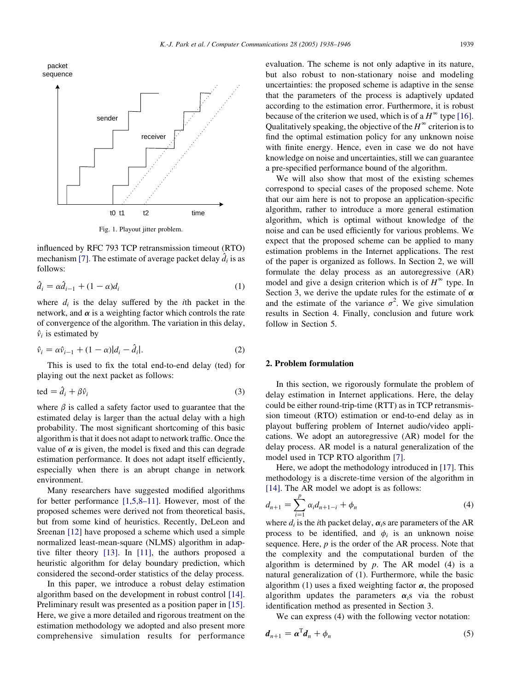<span id="page-1-0"></span>packet sequence



Fig. 1. Playout jitter problem.

influenced by RFC 793 TCP retransmission timeout (RTO) mechanism [\[7\].](#page-8-0) The estimate of average packet delay  $\hat{d}_i$  is as follows:

$$
\hat{d}_i = \alpha \hat{d}_{i-1} + (1 - \alpha)d_i \tag{1}
$$

where  $d_i$  is the delay suffered by the *i*th packet in the network, and  $\alpha$  is a weighting factor which controls the rate of convergence of the algorithm. The variation in this delay,  $\hat{v}_i$  is estimated by

$$
\hat{v}_i = \alpha \hat{v}_{i-1} + (1 - \alpha)|d_i - \hat{d}_i|.
$$
\n(2)

This is used to fix the total end-to-end delay (ted) for playing out the next packet as follows:

$$
ted = \hat{d}_i + \beta \hat{v}_i \tag{3}
$$

where  $\beta$  is called a safety factor used to guarantee that the estimated delay is larger than the actual delay with a high probability. The most significant shortcoming of this basic algorithm is that it does not adapt to network traffic. Once the value of  $\alpha$  is given, the model is fixed and this can degrade estimation performance. It does not adapt itself efficiently, especially when there is an abrupt change in network environment.

Many researchers have suggested modified algorithms for better performance [\[1,5,8–11\]](#page-8-0). However, most of the proposed schemes were derived not from theoretical basis, but from some kind of heuristics. Recently, DeLeon and Sreenan [\[12\]](#page-8-0) have proposed a scheme which used a simple normalized least-mean-square (NLMS) algorithm in adaptive filter theory [\[13\]](#page-8-0). In [\[11\]](#page-8-0), the authors proposed a heuristic algorithm for delay boundary prediction, which considered the second-order statistics of the delay process.

In this paper, we introduce a robust delay estimation algorithm based on the development in robust control [\[14\]](#page-8-0). Preliminary result was presented as a position paper in [\[15\]](#page-8-0). Here, we give a more detailed and rigorous treatment on the estimation methodology we adopted and also present more comprehensive simulation results for performance evaluation. The scheme is not only adaptive in its nature, but also robust to non-stationary noise and modeling uncertainties: the proposed scheme is adaptive in the sense that the parameters of the process is adaptively updated according to the estimation error. Furthermore, it is robust because of the criterion we used, which is of a  $H^{\infty}$  type [\[16\]](#page-8-0). Qualitatively speaking, the objective of the  $H^{\infty}$  criterion is to find the optimal estimation policy for any unknown noise with finite energy. Hence, even in case we do not have knowledge on noise and uncertainties, still we can guarantee a pre-specified performance bound of the algorithm.

We will also show that most of the existing schemes correspond to special cases of the proposed scheme. Note that our aim here is not to propose an application-specific algorithm, rather to introduce a more general estimation algorithm, which is optimal without knowledge of the noise and can be used efficiently for various problems. We expect that the proposed scheme can be applied to many estimation problems in the Internet applications. The rest of the paper is organized as follows. In Section 2, we will formulate the delay process as an autoregressive (AR) model and give a design criterion which is of  $H^{\infty}$  type. In Section 3, we derive the update rules for the estimate of  $\alpha$ and the estimate of the variance  $\sigma^2$ . We give simulation results in Section 4. Finally, conclusion and future work follow in Section 5.

### 2. Problem formulation

In this section, we rigorously formulate the problem of delay estimation in Internet applications. Here, the delay could be either round-trip-time (RTT) as in TCP retransmission timeout (RTO) estimation or end-to-end delay as in playout buffering problem of Internet audio/video applications. We adopt an autoregressive (AR) model for the delay process. AR model is a natural generalization of the model used in TCP RTO algorithm [\[7\].](#page-8-0)

Here, we adopt the methodology introduced in [\[17\]](#page-8-0). This methodology is a discrete-time version of the algorithm in [\[14\]](#page-8-0). The AR model we adopt is as follows:

$$
d_{n+1} = \sum_{i=1}^{p} \alpha_i d_{n+1-i} + \phi_n
$$
 (4)

where  $d_i$  is the *i*th packet delay,  $\alpha_i$  are parameters of the AR process to be identified, and  $\phi_i$  is an unknown noise sequence. Here,  $p$  is the order of the AR process. Note that the complexity and the computational burden of the algorithm is determined by  $p$ . The AR model (4) is a natural generalization of (1). Furthermore, while the basic algorithm (1) uses a fixed weighting factor  $\alpha$ , the proposed algorithm updates the parameters  $\alpha_i$ s via the robust identification method as presented in Section 3.

We can express  $(4)$  with the following vector notation:

$$
d_{n+1} = \alpha^{\mathrm{T}} d_n + \phi_n \tag{5}
$$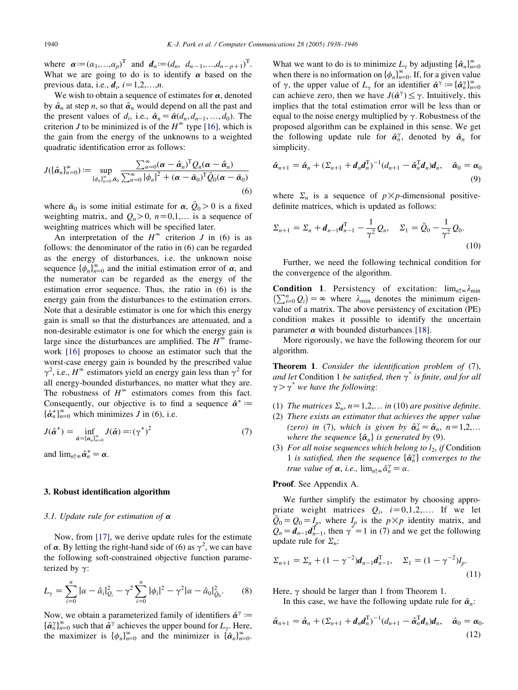where  $\alpha := (\alpha_1, ..., \alpha_p)^T$  and  $d_n := (d_n, d_{n-1}, ..., d_{n-p+1})^T$ . What we are going to do is to identify  $\alpha$  based on the previous data, i.e.,  $d_i$ ,  $i=1,2,...,n$ .

We wish to obtain a sequence of estimates for  $\alpha$ , denoted by  $\hat{\alpha}_n$  at step n, so that  $\hat{\alpha}_n$  would depend on all the past and the present values of  $d_i$ , i.e.,  $\hat{\boldsymbol{\alpha}}_n = \hat{\boldsymbol{\alpha}}(d_n, d_{n-1},..., d_0)$ . The criterion J to be minimized is of the  $H^{\infty}$  type [\[16\],](#page-8-0) which is the gain from the energy of the unknowns to a weighted quadratic identification error as follows:

$$
J(\{\hat{\alpha}_n\}_{n=0}^{\infty}) := \sup_{\{\phi_n\}_{n=0}^{\infty},\bar{\alpha}_0} \frac{\sum_{n=0}^{\infty} (\alpha - \hat{\alpha}_n)^{\mathrm{T}} Q_n(\alpha - \hat{\alpha}_n)}{\sum_{n=0}^{\infty} |\phi_n|^2 + (\alpha - \bar{\alpha}_0)^{\mathrm{T}} \bar{Q}_0(\alpha - \bar{\alpha}_0)}
$$
(6)

where  $\bar{\alpha}_0$  is some initial estimate for  $\alpha$ ,  $\bar{Q}_0 > 0$  is a fixed weighting matrix, and  $Q_n>0$ ,  $n=0,1,...$  is a sequence of weighting matrices which will be specified later.

An interpretation of the  $H^{\infty}$  criterion J in (6) is as follows: the denominator of the ratio in (6) can be regarded as the energy of disturbances, i.e. the unknown noise sequence  $\{\phi_n\}_{n=0}^{\infty}$  and the initial estimation error of  $\alpha$ , and the numerator can be regarded as the energy of the estimation error sequence. Thus, the ratio in (6) is the energy gain from the disturbances to the estimation errors. Note that a desirable estimator is one for which this energy gain is small so that the disturbances are attenuated, and a non-desirable estimator is one for which the energy gain is large since the disturbances are amplified. The  $H^{\infty}$  framework [\[16\]](#page-8-0) proposes to choose an estimator such that the worst-case energy gain is bounded by the prescribed value  $\gamma^2$ , i.e.,  $H^{\infty}$  estimators yield an energy gain less than  $\gamma^2$  for all energy-bounded disturbances, no matter what they are. The robustness of  $H^{\infty}$  estimators comes from this fact. Consequently, our objective is to find a sequence  $\hat{\alpha}^* :=$  $\{\hat{\alpha}_n^*\}_{n=0}^\infty$  which minimizes J in (6), i.e.

$$
J(\hat{\alpha}^*) = \inf_{\hat{\alpha} = {\{\alpha_n\}}_{n=0}^{\infty}} J(\hat{\alpha}) = : {(\gamma^*)}^2
$$
 (7)

and  $\lim_{n \uparrow \infty} \hat{\alpha}_n^* = \alpha$ .

#### 3. Robust identification algorithm

# 3.1. Update rule for estimation of  $\alpha$

Now, from [\[17\]](#page-8-0), we derive update rules for the estimate of  $\alpha$ . By letting the right-hand side of (6) as  $\gamma^2$ , we can have the following soft-constrained objective function parameterized by  $\gamma$ :

$$
L_{\gamma} = \sum_{i=0}^{n} |\alpha - \hat{\alpha}_i|_{Q_i}^2 - \gamma^2 \sum_{i=0}^{n} |\phi_i|^2 - \gamma^2 |\alpha - \hat{\alpha}_0|_{\bar{Q}_0}^2.
$$
 (8)

Now, we obtain a parameterized family of identifiers  $\hat{\alpha}^{\gamma}$  :=  $\{\hat{\alpha}_n^{\gamma}\}_{n=0}^{\infty}$  such that  $\hat{\alpha}^{\gamma}$  achieves the upper bound for  $L_{\gamma}$ . Here, the maximizer is  $\{\phi_n\}_{n=0}^{\infty}$  and the minimizer is  $\{\hat{\alpha}_n\}_{n=0}^{\infty}$ .

What we want to do is to minimize  $L_{\gamma}$  by adjusting  $\{\hat{\alpha}_n\}_{n=0}^{\infty}$ when there is no information on  $\{\phi_n\}_{n=0}^{\infty}$ . If, for a given value of  $\gamma$ , the upper value of  $L_{\gamma}$  for an identifier  $\hat{\alpha}^{\gamma} := {\{\hat{\alpha}_n^{\gamma}\}}_{n=0}^{\infty}$ can achieve zero, then we have  $J(\hat{\alpha}^{\gamma}) \leq \gamma$ . Intuitively, this implies that the total estimation error will be less than or equal to the noise energy multiplied by  $\gamma$ . Robustness of the proposed algorithm can be explained in this sense. We get the following update rule for  $\hat{\alpha}_n^{\gamma}$ , denoted by  $\hat{\alpha}_n$  for simplicity.

$$
\hat{\alpha}_{n+1} = \hat{\alpha}_n + (\Sigma_{n+1} + d_n d_n^{\mathrm{T}})^{-1} (d_{n+1} - \hat{\alpha}_n^{\mathrm{T}} d_n) d_n, \quad \hat{\alpha}_0 = \alpha_0
$$
\n(9)

where  $\Sigma_n$  is a sequence of  $p \times p$ -dimensional positivedefinite matrices, which is updated as follows:

$$
\Sigma_{n+1} = \Sigma_n + d_{n-1}d_{n-1}^{\mathrm{T}} - \frac{1}{\gamma^2}Q_n, \quad \Sigma_1 = \bar{Q}_0 - \frac{1}{\gamma^2}Q_0.
$$
\n(10)

Further, we need the following technical condition for the convergence of the algorithm.

**Condition 1.** Persistency of excitation:  $\lim_{n \uparrow \infty} \lambda_{\min}$  $\sum_{i=0}^{n} Q_i$  =  $\infty$  where  $\lambda_{\min}$  denotes the minimum eigenvalue of a matrix. The above persistency of excitation (PE) condition makes it possible to identify the uncertain parameter  $\alpha$  with bounded disturbances [\[18\].](#page-8-0)

More rigorously, we have the following theorem for our algorithm.

Theorem 1. Consider the identification problem of (7), and let Condition 1 be satisfied, then  $\gamma^*$  is finite, and for all  $\gamma > \gamma^*$  we have the following:

- (1) The matrices  $\Sigma_n$ ,  $n=1,2,...$  in (10) are positive definite.
- (2) There exists an estimator that achieves the upper value (zero) in (7), which is given by  $\hat{\alpha}_n^{\gamma} = \hat{\alpha}_n$ , n=1,2,... where the sequence  $\{\hat{\alpha}_n\}$  is generated by (9).
- (3) For all noise sequences which belong to  $l_2$ , if Condition 1 is satisfied, then the sequence  $\{\hat{\alpha}^{\gamma}_n\}$  converges to the true value of  $\alpha$ , i.e.,  $\lim_{n \uparrow \infty} \hat{\alpha}_n^{\gamma} = \alpha$ .

# Proof. See Appendix A.

We further simplify the estimator by choosing appropriate weight matrices  $Q_i$ ,  $i=0,1,2,...$  If we let  $\overline{Q}_0 = Q_0 = I_p$ , where  $I_p$  is the  $p \times p$  identity matrix, and  $Q_n = d_{n-1} d_{n-1}^T$ , then  $\gamma^* = 1$  in (7) and we get the following update rule for  $\Sigma_n$ :

$$
\Sigma_{n+1} = \Sigma_n + (1 - \gamma^{-2})d_{n-1}d_{n-1}^{\mathrm{T}}, \quad \Sigma_1 = (1 - \gamma^{-2})I_p.
$$
\n(11)

Here,  $\gamma$  should be larger than 1 from Theorem 1. In this case, we have the following update rule for  $\hat{\alpha}_n$ :

$$
\hat{\alpha}_{n+1} = \hat{\alpha}_n + (\Sigma_{n+1} + d_n d_n^{\mathrm{T}})^{-1} (d_{n+1} - \hat{\alpha}_n^{\mathrm{T}} d_n) d_n, \quad \hat{\alpha}_0 = \alpha_0.
$$
\n(12)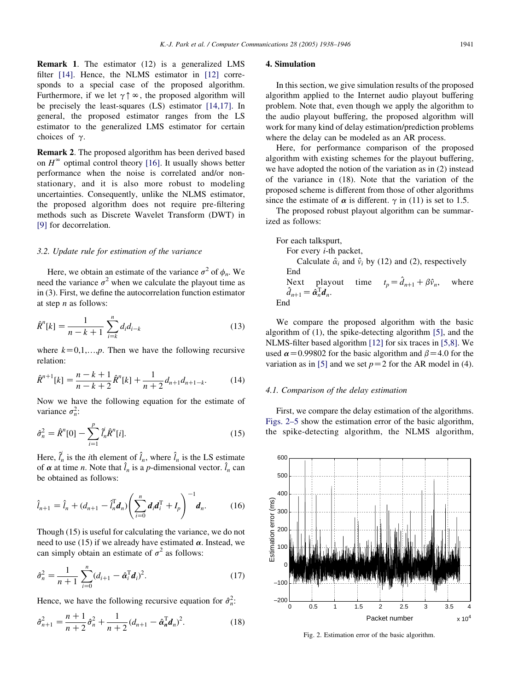Remark 1. The estimator (12) is a generalized LMS filter [\[14\]](#page-8-0). Hence, the NLMS estimator in [\[12\]](#page-8-0) corresponds to a special case of the proposed algorithm. Furthermore, if we let  $\gamma \uparrow \infty$ , the proposed algorithm will be precisely the least-squares (LS) estimator [\[14,17\].](#page-8-0) In general, the proposed estimator ranges from the LS estimator to the generalized LMS estimator for certain choices of  $\gamma$ .

Remark 2. The proposed algorithm has been derived based on  $H^{\infty}$  optimal control theory [\[16\].](#page-8-0) It usually shows better performance when the noise is correlated and/or nonstationary, and it is also more robust to modeling uncertainties. Consequently, unlike the NLMS estimator, the proposed algorithm does not require pre-filtering methods such as Discrete Wavelet Transform (DWT) in [\[9\]](#page-8-0) for decorrelation.

#### 3.2. Update rule for estimation of the variance

Here, we obtain an estimate of the variance  $\sigma^2$  of  $\phi_n$ . We need the variance  $\sigma^2$  when we calculate the playout time as in (3). First, we define the autocorrelation function estimator at step  $n$  as follows:

$$
\hat{R}^n[k] = \frac{1}{n-k+1} \sum_{i=k}^n d_i d_{i-k} \tag{13}
$$

where  $k=0,1,...,p$ . Then we have the following recursive relation:

$$
\hat{R}^{n+1}[k] = \frac{n-k+1}{n-k+2}\hat{R}^n[k] + \frac{1}{n+2}d_{n+1}d_{n+1-k}.
$$
 (14)

Now we have the following equation for the estimate of variance  $\sigma_n^2$ :

$$
\hat{\sigma}_n^2 = \hat{R}^n[0] - \sum_{i=1}^p \hat{I}_n^i \hat{R}^n[i].
$$
\n(15)

Here,  $\hat{l}_n^i$  is the *i*th element of  $\hat{l}_n$ , where  $\hat{l}_n$  is the LS estimate of  $\alpha$  at time *n*. Note that  $\hat{l}_n$  is a *p*-dimensional vector.  $\hat{l}_n$  can be obtained as follows:

$$
\hat{l}_{n+1} = \hat{l}_n + (d_{n+1} - \hat{l}_n^{\mathrm{T}} d_n) \left( \sum_{i=0}^n d_i d_i^{\mathrm{T}} + I_p \right)^{-1} d_n.
$$
 (16)

Though (15) is useful for calculating the variance, we do not need to use (15) if we already have estimated  $\alpha$ . Instead, we can simply obtain an estimate of  $\sigma^2$  as follows:

$$
\hat{\sigma}_n^2 = \frac{1}{n+1} \sum_{i=0}^n (d_{i+1} - \hat{\alpha}_i^{\mathrm{T}} \mathbf{d}_i)^2.
$$
 (17)

Hence, we have the following recursive equation for  $\hat{\sigma}_n^2$ :

$$
\hat{\sigma}_{n+1}^2 = \frac{n+1}{n+2} \hat{\sigma}_n^2 + \frac{1}{n+2} (d_{n+1} - \hat{\alpha}_n^T \mathbf{d}_n)^2.
$$
 (18)

#### 4. Simulation

In this section, we give simulation results of the proposed algorithm applied to the Internet audio playout buffering problem. Note that, even though we apply the algorithm to the audio playout buffering, the proposed algorithm will work for many kind of delay estimation/prediction problems where the delay can be modeled as an AR process.

Here, for performance comparison of the proposed algorithm with existing schemes for the playout buffering, we have adopted the notion of the variation as in (2) instead of the variance in (18). Note that the variation of the proposed scheme is different from those of other algorithms since the estimate of  $\alpha$  is different.  $\gamma$  in (11) is set to 1.5.

The proposed robust playout algorithm can be summarized as follows:

For each talkspurt, For every i-th packet, Calculate  $\hat{\alpha}_i$  and  $\hat{v}_i$  by (12) and (2), respectively End Next playout time  $t_p = \hat{d}_{n+1} + \beta \hat{v}_n$ , where  $\hat{d}_{n+1} = \hat{\alpha}_n^{\mathrm{T}} d_n.$ End

We compare the proposed algorithm with the basic algorithm of (1), the spike-detecting algorithm [\[5\]](#page-8-0), and the NLMS-filter based algorithm [\[12\]](#page-8-0) for six traces in [\[5,8\].](#page-8-0) We used  $\alpha$  = 0.99802 for the basic algorithm and  $\beta$  = 4.0 for the variation as in [\[5\]](#page-8-0) and we set  $p=2$  for the AR model in (4).

#### 4.1. Comparison of the delay estimation

First, we compare the delay estimation of the algorithms. Figs. 2–5 show the estimation error of the basic algorithm, the spike-detecting algorithm, the NLMS algorithm,



Fig. 2. Estimation error of the basic algorithm.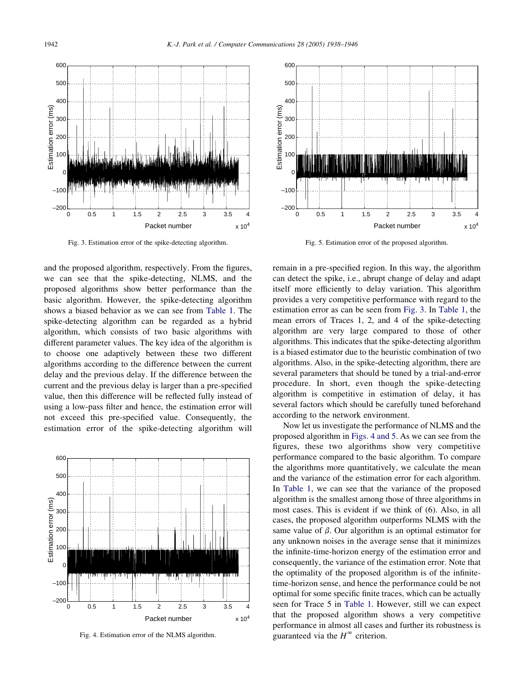

Fig. 3. Estimation error of the spike-detecting algorithm.

and the proposed algorithm, respectively. From the figures, we can see that the spike-detecting, NLMS, and the proposed algorithms show better performance than the basic algorithm. However, the spike-detecting algorithm shows a biased behavior as we can see from [Table 1](#page-5-0). The spike-detecting algorithm can be regarded as a hybrid algorithm, which consists of two basic algorithms with different parameter values. The key idea of the algorithm is to choose one adaptively between these two different algorithms according to the difference between the current delay and the previous delay. If the difference between the current and the previous delay is larger than a pre-specified value, then this difference will be reflected fully instead of using a low-pass filter and hence, the estimation error will not exceed this pre-specified value. Consequently, the estimation error of the spike-detecting algorithm will



Fig. 4. Estimation error of the NLMS algorithm.



Fig. 5. Estimation error of the proposed algorithm.

remain in a pre-specified region. In this way, the algorithm can detect the spike, i.e., abrupt change of delay and adapt itself more efficiently to delay variation. This algorithm provides a very competitive performance with regard to the estimation error as can be seen from Fig. 3. In [Table 1](#page-5-0), the mean errors of Traces 1, 2, and 4 of the spike-detecting algorithm are very large compared to those of other algorithms. This indicates that the spike-detecting algorithm is a biased estimator due to the heuristic combination of two algorithms. Also, in the spike-detecting algorithm, there are several parameters that should be tuned by a trial-and-error procedure. In short, even though the spike-detecting algorithm is competitive in estimation of delay, it has several factors which should be carefully tuned beforehand according to the network environment.

Now let us investigate the performance of NLMS and the proposed algorithm in Figs. 4 and 5. As we can see from the figures, these two algorithms show very competitive performance compared to the basic algorithm. To compare the algorithms more quantitatively, we calculate the mean and the variance of the estimation error for each algorithm. In [Table 1,](#page-5-0) we can see that the variance of the proposed algorithm is the smallest among those of three algorithms in most cases. This is evident if we think of (6). Also, in all cases, the proposed algorithm outperforms NLMS with the same value of  $\beta$ . Our algorithm is an optimal estimator for any unknown noises in the average sense that it minimizes the infinite-time-horizon energy of the estimation error and consequently, the variance of the estimation error. Note that the optimality of the proposed algorithm is of the infinitetime-horizon sense, and hence the performance could be not optimal for some specific finite traces, which can be actually seen for Trace 5 in [Table 1](#page-5-0). However, still we can expect that the proposed algorithm shows a very competitive performance in almost all cases and further its robustness is guaranteed via the  $H^{\infty}$  criterion.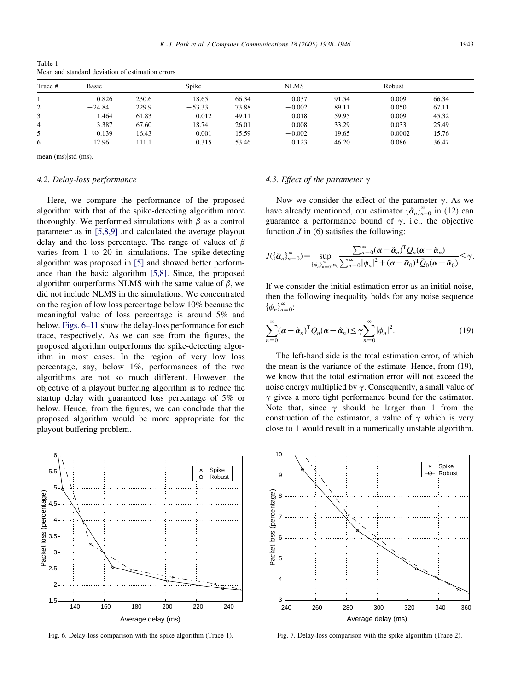<span id="page-5-0"></span>Table 1 Mean and standard deviation of estimation errors

| Trace # | Basic    | Spike |          |       | <b>NLMS</b> |       | Robust   |       |  |
|---------|----------|-------|----------|-------|-------------|-------|----------|-------|--|
|         | $-0.826$ | 230.6 | 18.65    | 66.34 | 0.037       | 91.54 | $-0.009$ | 66.34 |  |
| 2       | $-24.84$ | 229.9 | $-53.33$ | 73.88 | $-0.002$    | 89.11 | 0.050    | 67.11 |  |
|         | $-1.464$ | 61.83 | $-0.012$ | 49.11 | 0.018       | 59.95 | $-0.009$ | 45.32 |  |
| 4       | $-3.387$ | 67.60 | $-18.74$ | 26.01 | 0.008       | 33.29 | 0.033    | 25.49 |  |
| 5.      | 0.139    | 16.43 | 0.001    | 15.59 | $-0.002$    | 19.65 | 0.0002   | 15.76 |  |
| 6       | 12.96    | 111.1 | 0.315    | 53.46 | 0.123       | 46.20 | 0.086    | 36.47 |  |

mean (ms) std (ms).

#### 4.2. Delay-loss performance

Here, we compare the performance of the proposed algorithm with that of the spike-detecting algorithm more thoroughly. We performed simulations with  $\beta$  as a control parameter as in [\[5,8,9\]](#page-8-0) and calculated the average playout delay and the loss percentage. The range of values of  $\beta$ varies from 1 to 20 in simulations. The spike-detecting algorithm was proposed in [\[5\]](#page-8-0) and showed better performance than the basic algorithm [\[5,8\].](#page-8-0) Since, the proposed algorithm outperforms NLMS with the same value of  $\beta$ , we did not include NLMS in the simulations. We concentrated on the region of low loss percentage below 10% because the meaningful value of loss percentage is around 5% and below. Figs. 6–11 show the delay-loss performance for each trace, respectively. As we can see from the figures, the proposed algorithm outperforms the spike-detecting algorithm in most cases. In the region of very low loss percentage, say, below 1%, performances of the two algorithms are not so much different. However, the objective of a playout buffering algorithm is to reduce the startup delay with guaranteed loss percentage of 5% or below. Hence, from the figures, we can conclude that the proposed algorithm would be more appropriate for the playout buffering problem.



Fig. 6. Delay-loss comparison with the spike algorithm (Trace 1).

#### 4.3. Effect of the parameter  $\gamma$

Now we consider the effect of the parameter  $\gamma$ . As we have already mentioned, our estimator  $\{\hat{\alpha}_n\}_{n=0}^{\infty}$  in (12) can guarantee a performance bound of  $\gamma$ , i.e., the objective function  $J$  in (6) satisfies the following:

$$
J(\{\hat{\alpha}_n\}_{n=0}^{\infty}) = \sup_{\{\phi_n\}_{n=0}^{\infty},\bar{\alpha}_0} \frac{\sum_{n=0}^{\infty} (\alpha - \hat{\alpha}_n)^{\mathrm{T}} Q_n(\alpha - \hat{\alpha}_n)}{\sum_{n=0}^{\infty} |\phi_n|^2 + (\alpha - \bar{\alpha}_0)^{\mathrm{T}} \bar{Q}_0(\alpha - \bar{\alpha}_0)} \leq \gamma.
$$

If we consider the initial estimation error as an initial noise, then the following inequality holds for any noise sequence  $\{\phi_n\}_{n=0}^\infty$ :

$$
\sum_{n=0}^{\infty} (\boldsymbol{\alpha} - \hat{\boldsymbol{\alpha}}_n)^{\mathrm{T}} Q_n (\boldsymbol{\alpha} - \hat{\boldsymbol{\alpha}}_n) \leq \gamma \sum_{n=0}^{\infty} |\phi_n|^2.
$$
 (19)

The left-hand side is the total estimation error, of which the mean is the variance of the estimate. Hence, from (19), we know that the total estimation error will not exceed the noise energy multiplied by  $\gamma$ . Consequently, a small value of  $\gamma$  gives a more tight performance bound for the estimator. Note that, since  $\gamma$  should be larger than 1 from the construction of the estimator, a value of  $\gamma$  which is very close to 1 would result in a numerically unstable algorithm.



Fig. 7. Delay-loss comparison with the spike algorithm (Trace 2).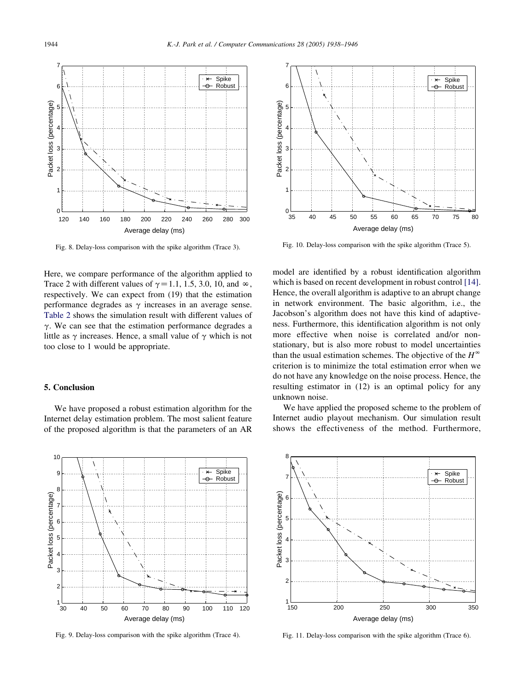

Fig. 8. Delay-loss comparison with the spike algorithm (Trace 3).

Here, we compare performance of the algorithm applied to Trace 2 with different values of  $\gamma = 1.1, 1.5, 3.0, 10,$  and  $\infty$ , respectively. We can expect from (19) that the estimation performance degrades as  $\gamma$  increases in an average sense. [Table 2](#page-7-0) shows the simulation result with different values of  $\gamma$ . We can see that the estimation performance degrades a little as  $\gamma$  increases. Hence, a small value of  $\gamma$  which is not too close to 1 would be appropriate.

# 5. Conclusion

We have proposed a robust estimation algorithm for the Internet delay estimation problem. The most salient feature of the proposed algorithm is that the parameters of an AR



Fig. 9. Delay-loss comparison with the spike algorithm (Trace 4).



Fig. 10. Delay-loss comparison with the spike algorithm (Trace 5).

model are identified by a robust identification algorithm which is based on recent development in robust control [\[14\]](#page-8-0). Hence, the overall algorithm is adaptive to an abrupt change in network environment. The basic algorithm, i.e., the Jacobson's algorithm does not have this kind of adaptiveness. Furthermore, this identification algorithm is not only more effective when noise is correlated and/or nonstationary, but is also more robust to model uncertainties than the usual estimation schemes. The objective of the  $H^{\infty}$ criterion is to minimize the total estimation error when we do not have any knowledge on the noise process. Hence, the resulting estimator in (12) is an optimal policy for any unknown noise.

We have applied the proposed scheme to the problem of Internet audio playout mechanism. Our simulation result shows the effectiveness of the method. Furthermore,



Fig. 11. Delay-loss comparison with the spike algorithm (Trace 6).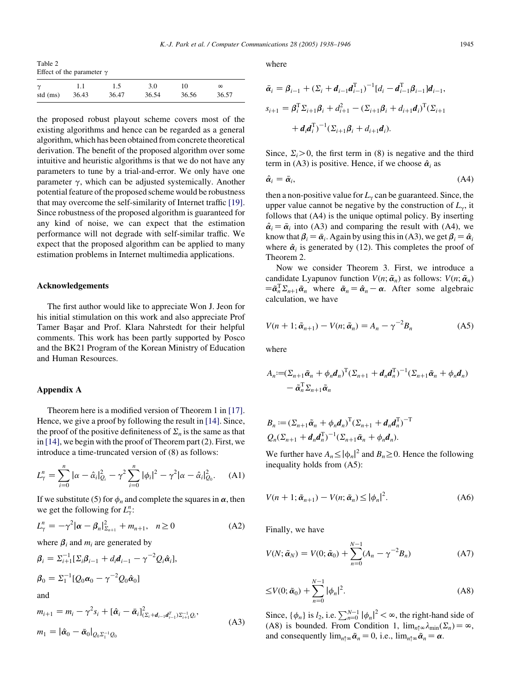<span id="page-7-0"></span>Table 2 Effect of the parameter  $\gamma$ 

| $\sum_{i=1}^{n}$ |       |       |       |       |              |  |  |  |  |  |  |
|------------------|-------|-------|-------|-------|--------------|--|--|--|--|--|--|
| $\gamma$         | 1.1   | 1.5   | 3.0   | 10    | ${}^{\circ}$ |  |  |  |  |  |  |
| std (ms)         | 36.43 | 36.47 | 36.54 | 36.56 | 36.57        |  |  |  |  |  |  |

the proposed robust playout scheme covers most of the existing algorithms and hence can be regarded as a general algorithm, which has been obtained from concrete theoretical derivation. The benefit of the proposed algorithm over some intuitive and heuristic algorithms is that we do not have any parameters to tune by a trial-and-error. We only have one parameter  $\gamma$ , which can be adjusted systemically. Another potential feature of the proposed scheme would be robustness that may overcome the self-similarity of Internet traffic [\[19\]](#page-8-0). Since robustness of the proposed algorithm is guaranteed for any kind of noise, we can expect that the estimation performance will not degrade with self-similar traffic. We expect that the proposed algorithm can be applied to many estimation problems in Internet multimedia applications.

#### Acknowledgements

The first author would like to appreciate Won J. Jeon for his initial stimulation on this work and also appreciate Prof Tamer Başar and Prof. Klara Nahrstedt for their helpful comments. This work has been partly supported by Posco and the BK21 Program of the Korean Ministry of Education and Human Resources.

# Appendix A

Theorem here is a modified version of Theorem 1 in [\[17\]](#page-8-0). Hence, we give a proof by following the result in [\[14\]](#page-8-0). Since, the proof of the positive definiteness of  $\Sigma_n$  is the same as that in [\[14\],](#page-8-0) we begin with the proof of Theorem part (2). First, we introduce a time-truncated version of (8) as follows:

$$
L_{\gamma}^{n} = \sum_{i=0}^{n} |\alpha - \hat{\alpha}_{i}|_{Q_{i}}^{2} - \gamma^{2} \sum_{i=0}^{n} |\phi_{i}|^{2} - \gamma^{2} |\alpha - \hat{\alpha}_{i}|_{Q_{0}}^{2}.
$$
 (A1)

If we substitute (5) for  $\phi_n$  and complete the squares in  $\alpha$ , then we get the following for  $L_{\gamma}^{n}$ :

$$
L_{\gamma}^{n} = -\gamma^{2} |\alpha - \beta_{n}|_{\Sigma_{n+1}}^{2} + m_{n+1}, \quad n \ge 0
$$
 (A2)

where  $\beta_i$  and  $m_i$  are generated by

$$
\beta_i = \Sigma_{i+1}^{-1} [\Sigma_i \beta_{i-1} + d_i \mathbf{d}_{i-1} - \gamma^{-2} Q_i \hat{\alpha}_i],
$$
  
\n
$$
\beta_0 = \Sigma_1^{-1} [Q_0 \alpha_0 - \gamma^{-2} Q_0 \hat{\alpha}_0]
$$
  
\nand  
\n
$$
m_{i+1} = m_i - \gamma^2 s_i + [\hat{\alpha}_i - \bar{\alpha}_i]_{(\Sigma_i + \mathbf{d}_{i-1} \mathbf{d}_{i-1}^T) \Sigma_{i+1}^{-1} Q_i}^2,
$$

$$
m_{i+1} = m_i - \gamma^2 s_i + [\hat{\alpha}_i - \bar{\alpha}_i]_{(\Sigma_i + d_{i-1} d_{i-1}^T) \Sigma_{i+1}^{-1} Q_i}^2,
$$
  
\n
$$
m_1 = |\hat{\alpha}_0 - \bar{\alpha}_0|_{Q_0 \Sigma_1^{-1} Q_0}
$$
\n(A3)

where

$$
\bar{\alpha}_i = \beta_{i-1} + (\Sigma_i + d_{i-1}d_{i-1}^{\mathrm{T}})^{-1}[d_i - d_{i-1}^{\mathrm{T}}\beta_{i-1}]d_{i-1},
$$
  

$$
s_{i+1} = \beta_i^{\mathrm{T}}\Sigma_{i+1}\beta_i + d_{i+1}^2 - (\Sigma_{i+1}\beta_i + d_{i+1}d_i)^{\mathrm{T}}(\Sigma_{i+1} + d_i d_i^{\mathrm{T}})^{-1}(\Sigma_{i+1}\beta_i + d_{i+1}d_i).
$$

Since,  $\Sigma_i > 0$ , the first term in (8) is negative and the third term in (A3) is positive. Hence, if we choose  $\hat{\alpha}_i$  as

$$
\hat{\alpha}_i = \bar{\alpha}_i, \tag{A4}
$$

then a non-positive value for  $L_{\gamma}$  can be guaranteed. Since, the upper value cannot be negative by the construction of  $L_{\gamma}$ , it follows that (A4) is the unique optimal policy. By inserting  $\hat{\alpha}_i = \bar{\alpha}_i$  into (A3) and comparing the result with (A4), we know that  $\beta_i = \bar{\alpha}_i$ . Again by using this in (A3), we get  $\beta_i = \hat{\alpha}_i$ where  $\hat{\alpha}_i$  is generated by (12). This completes the proof of Theorem 2.

Now we consider Theorem 3. First, we introduce a candidate Lyapunov function  $V(n; \tilde{\alpha}_n)$  as follows:  $V(n; \tilde{\alpha}_n)$  $= \tilde{\alpha}_n^T \Sigma_{n+1} \tilde{\alpha}_n$  where  $\tilde{\alpha}_n = \hat{\alpha}_n - \alpha$ . After some algebraic calculation, we have

$$
V(n+1; \tilde{\alpha}_{n+1}) - V(n; \tilde{\alpha}_n) = A_n - \gamma^{-2} B_n \tag{A5}
$$

where

$$
A_n := (\Sigma_{n+1} \tilde{\alpha}_n + \phi_n \mathbf{d}_n)^{\mathrm{T}} (\Sigma_{n+1} + \mathbf{d}_n \mathbf{d}_n^{\mathrm{T}})^{-1} (\Sigma_{n+1} \tilde{\alpha}_n + \phi_n \mathbf{d}_n)
$$
  
-  $\tilde{\alpha}_n^{\mathrm{T}} \Sigma_{n+1} \tilde{\alpha}_n$ 

$$
B_n := \left(\Sigma_{n+1}\tilde{\alpha}_n + \phi_n d_n\right)^T \left(\Sigma_{n+1} + d_n d_n^T\right)^{-T}
$$
  

$$
Q_n \left(\Sigma_{n+1} + d_n d_n^T\right)^{-1} \left(\Sigma_{n+1}\tilde{\alpha}_n + \phi_n d_n\right).
$$

We further have  $A_n \le |\phi_n|^2$  and  $B_n \ge 0$ . Hence the following inequality holds from (A5):

$$
V(n+1; \tilde{\alpha}_{n+1}) - V(n; \tilde{\alpha}_n) \le |\phi_n|^2.
$$
 (A6)

Finally, we have

$$
V(N; \tilde{\alpha}_N) = V(0; \tilde{\alpha}_0) + \sum_{n=0}^{N-1} (A_n - \gamma^{-2} B_n)
$$
 (A7)

$$
\leq V(0; \tilde{\alpha}_0) + \sum_{n=0}^{N-1} |\phi_n|^2.
$$
 (A8)

Since,  $\{\phi_n\}$  is  $l_2$ , i.e.  $\sum_{n=0}^{N-1} |\phi_n|^2 < \infty$ , the right-hand side of (A8) is bounded. From Condition 1,  $\lim_{n \uparrow \infty} \lambda_{\min}(\Sigma_n) = \infty$ , and consequently  $\lim_{n \uparrow \infty} \tilde{\alpha}_n = 0$ , i.e.,  $\lim_{n \uparrow \infty} \tilde{\alpha}_n = \alpha$ .